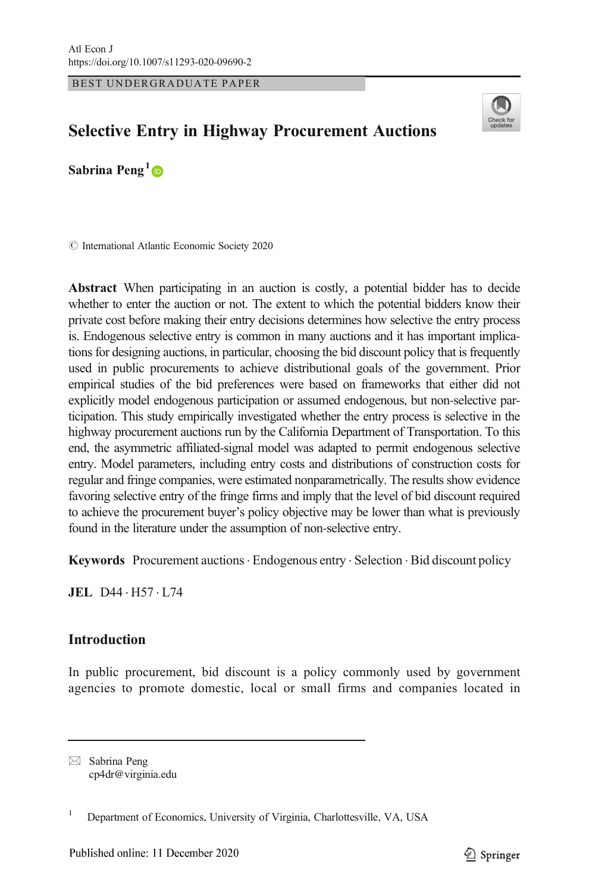BEST UNDERGRADUATE PAPER



# Selective Entry in Highway Procurement Auctions

Sabrina Peng<sup>1</sup>

 $\odot$  International Atlantic Economic Society 2020

Abstract When participating in an auction is costly, a potential bidder has to decide whether to enter the auction or not. The extent to which the potential bidders know their private cost before making their entry decisions determines how selective the entry process is. Endogenous selective entry is common in many auctions and it has important implications for designing auctions, in particular, choosing the bid discount policy that is frequently used in public procurements to achieve distributional goals of the government. Prior empirical studies of the bid preferences were based on frameworks that either did not explicitly model endogenous participation or assumed endogenous, but non-selective participation. This study empirically investigated whether the entry process is selective in the highway procurement auctions run by the California Department of Transportation. To this end, the asymmetric affiliated-signal model was adapted to permit endogenous selective entry. Model parameters, including entry costs and distributions of construction costs for regular and fringe companies, were estimated nonparametrically. The results show evidence favoring selective entry of the fringe firms and imply that the level of bid discount required to achieve the procurement buyer's policy objective may be lower than what is previously found in the literature under the assumption of non-selective entry.

Keywords Procurement auctions. Endogenous entry . Selection . Bid discount policy

JEL D44 . H57 . L74

# Introduction

In public procurement, bid discount is a policy commonly used by government agencies to promote domestic, local or small firms and companies located in

 $\boxtimes$  Sabrina Peng [cp4dr@virginia.edu](mailto:cp4dr@virginia.edu)

<sup>&</sup>lt;sup>1</sup> Department of Economics, University of Virginia, Charlottesville, VA, USA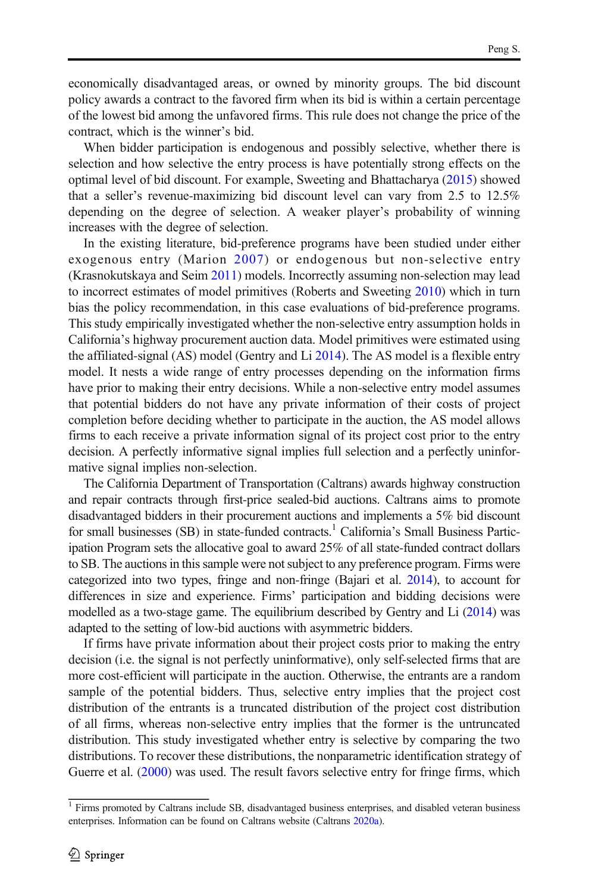economically disadvantaged areas, or owned by minority groups. The bid discount policy awards a contract to the favored firm when its bid is within a certain percentage of the lowest bid among the unfavored firms. This rule does not change the price of the contract, which is the winner's bid.

When bidder participation is endogenous and possibly selective, whether there is selection and how selective the entry process is have potentially strong effects on the optimal level of bid discount. For example, Sweeting and Bhattacharya [\(2015\)](#page-14-0) showed that a seller's revenue-maximizing bid discount level can vary from 2.5 to 12.5% depending on the degree of selection. A weaker player's probability of winning increases with the degree of selection.

In the existing literature, bid-preference programs have been studied under either exogenous entry (Marion [2007](#page-14-0)) or endogenous but non-selective entry (Krasnokutskaya and Seim [2011](#page-14-0)) models. Incorrectly assuming non-selection may lead to incorrect estimates of model primitives (Roberts and Sweeting [2010](#page-14-0)) which in turn bias the policy recommendation, in this case evaluations of bid-preference programs. This study empirically investigated whether the non-selective entry assumption holds in California's highway procurement auction data. Model primitives were estimated using the affiliated-signal (AS) model (Gentry and Li [2014\)](#page-14-0). The AS model is a flexible entry model. It nests a wide range of entry processes depending on the information firms have prior to making their entry decisions. While a non-selective entry model assumes that potential bidders do not have any private information of their costs of project completion before deciding whether to participate in the auction, the AS model allows firms to each receive a private information signal of its project cost prior to the entry decision. A perfectly informative signal implies full selection and a perfectly uninformative signal implies non-selection.

The California Department of Transportation (Caltrans) awards highway construction and repair contracts through first-price sealed-bid auctions. Caltrans aims to promote disadvantaged bidders in their procurement auctions and implements a 5% bid discount for small businesses (SB) in state-funded contracts.<sup>1</sup> California's Small Business Participation Program sets the allocative goal to award 25% of all state-funded contract dollars to SB. The auctions in this sample were not subject to any preference program. Firms were categorized into two types, fringe and non-fringe (Bajari et al. [2014\)](#page-14-0), to account for differences in size and experience. Firms' participation and bidding decisions were modelled as a two-stage game. The equilibrium described by Gentry and Li [\(2014](#page-14-0)) was adapted to the setting of low-bid auctions with asymmetric bidders.

If firms have private information about their project costs prior to making the entry decision (i.e. the signal is not perfectly uninformative), only self-selected firms that are more cost-efficient will participate in the auction. Otherwise, the entrants are a random sample of the potential bidders. Thus, selective entry implies that the project cost distribution of the entrants is a truncated distribution of the project cost distribution of all firms, whereas non-selective entry implies that the former is the untruncated distribution. This study investigated whether entry is selective by comparing the two distributions. To recover these distributions, the nonparametric identification strategy of Guerre et al. [\(2000](#page-14-0)) was used. The result favors selective entry for fringe firms, which

<sup>&</sup>lt;sup>1</sup> Firms promoted by Caltrans include SB, disadvantaged business enterprises, and disabled veteran business enterprises. Information can be found on Caltrans website (Caltrans [2020a\)](#page-14-0).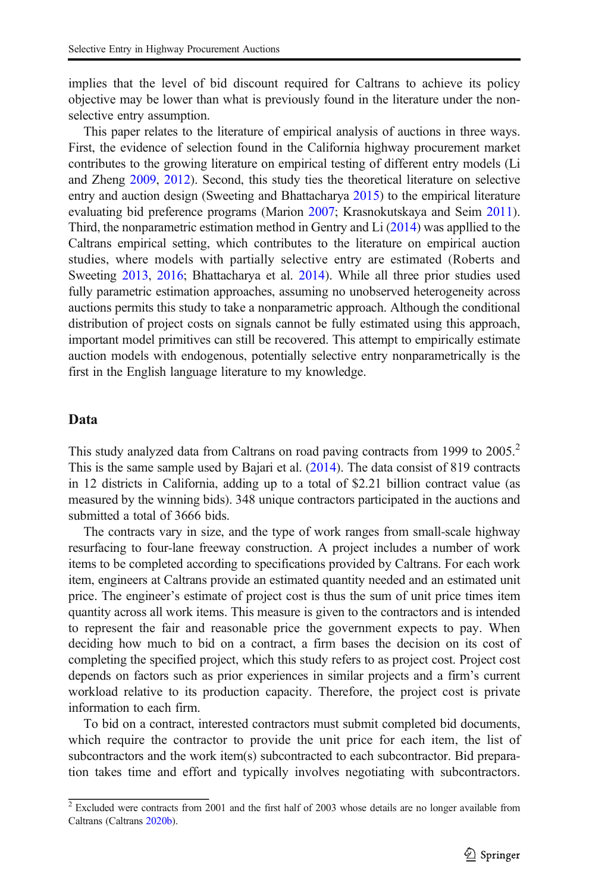implies that the level of bid discount required for Caltrans to achieve its policy objective may be lower than what is previously found in the literature under the nonselective entry assumption.

This paper relates to the literature of empirical analysis of auctions in three ways. First, the evidence of selection found in the California highway procurement market contributes to the growing literature on empirical testing of different entry models (Li and Zheng [2009,](#page-14-0) [2012](#page-14-0)). Second, this study ties the theoretical literature on selective entry and auction design (Sweeting and Bhattacharya [2015](#page-14-0)) to the empirical literature evaluating bid preference programs (Marion [2007;](#page-14-0) Krasnokutskaya and Seim [2011\)](#page-14-0). Third, the nonparametric estimation method in Gentry and Li [\(2014\)](#page-14-0) was appllied to the Caltrans empirical setting, which contributes to the literature on empirical auction studies, where models with partially selective entry are estimated (Roberts and Sweeting [2013,](#page-14-0) [2016;](#page-14-0) Bhattacharya et al. [2014\)](#page-14-0). While all three prior studies used fully parametric estimation approaches, assuming no unobserved heterogeneity across auctions permits this study to take a nonparametric approach. Although the conditional distribution of project costs on signals cannot be fully estimated using this approach, important model primitives can still be recovered. This attempt to empirically estimate auction models with endogenous, potentially selective entry nonparametrically is the first in the English language literature to my knowledge.

## Data

This study analyzed data from Caltrans on road paving contracts from 1999 to 2005.<sup>2</sup> This is the same sample used by Bajari et al. [\(2014\)](#page-14-0). The data consist of 819 contracts in 12 districts in California, adding up to a total of \$2.21 billion contract value (as measured by the winning bids). 348 unique contractors participated in the auctions and submitted a total of 3666 bids.

The contracts vary in size, and the type of work ranges from small-scale highway resurfacing to four-lane freeway construction. A project includes a number of work items to be completed according to specifications provided by Caltrans. For each work item, engineers at Caltrans provide an estimated quantity needed and an estimated unit price. The engineer's estimate of project cost is thus the sum of unit price times item quantity across all work items. This measure is given to the contractors and is intended to represent the fair and reasonable price the government expects to pay. When deciding how much to bid on a contract, a firm bases the decision on its cost of completing the specified project, which this study refers to as project cost. Project cost depends on factors such as prior experiences in similar projects and a firm's current workload relative to its production capacity. Therefore, the project cost is private information to each firm.

To bid on a contract, interested contractors must submit completed bid documents, which require the contractor to provide the unit price for each item, the list of subcontractors and the work item(s) subcontracted to each subcontractor. Bid preparation takes time and effort and typically involves negotiating with subcontractors.

 $2$  Excluded were contracts from 2001 and the first half of 2003 whose details are no longer available from Caltrans (Caltrans [2020b](#page-14-0)).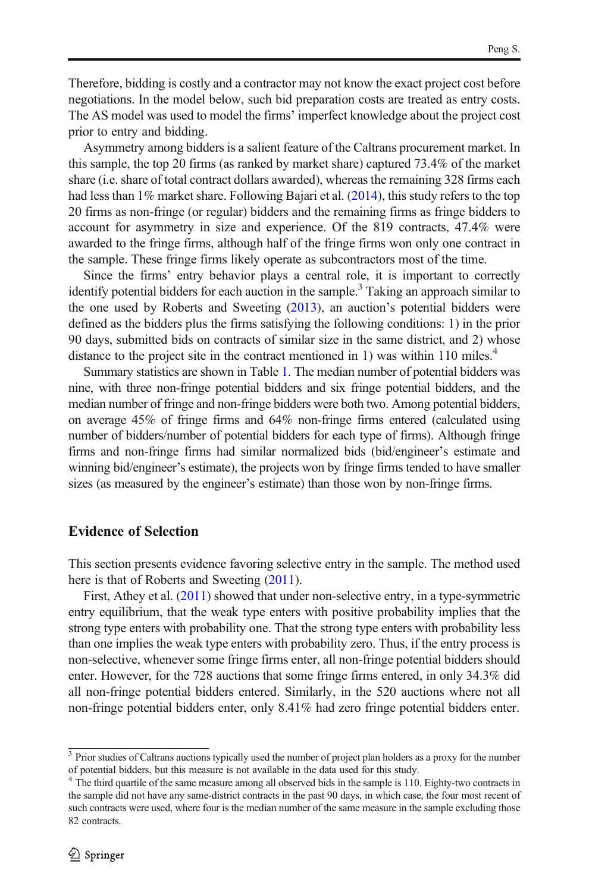Therefore, bidding is costly and a contractor may not know the exact project cost before negotiations. In the model below, such bid preparation costs are treated as entry costs. The AS model was used to model the firms' imperfect knowledge about the project cost prior to entry and bidding.

Asymmetry among bidders is a salient feature of the Caltrans procurement market. In this sample, the top 20 firms (as ranked by market share) captured 73.4% of the market share (i.e. share of total contract dollars awarded), whereas the remaining 328 firms each had less than 1% market share. Following Bajari et al. [\(2014\)](#page-14-0), this study refers to the top 20 firms as non-fringe (or regular) bidders and the remaining firms as fringe bidders to account for asymmetry in size and experience. Of the 819 contracts, 47.4% were awarded to the fringe firms, although half of the fringe firms won only one contract in the sample. These fringe firms likely operate as subcontractors most of the time.

Since the firms' entry behavior plays a central role, it is important to correctly identify potential bidders for each auction in the sample.<sup>3</sup> Taking an approach similar to the one used by Roberts and Sweeting [\(2013\)](#page-14-0), an auction's potential bidders were defined as the bidders plus the firms satisfying the following conditions: 1) in the prior 90 days, submitted bids on contracts of similar size in the same district, and 2) whose distance to the project site in the contract mentioned in 1) was within 110 miles.<sup>4</sup>

Summary statistics are shown in Table [1.](#page-4-0) The median number of potential bidders was nine, with three non-fringe potential bidders and six fringe potential bidders, and the median number of fringe and non-fringe bidders were both two. Among potential bidders, on average 45% of fringe firms and 64% non-fringe firms entered (calculated using number of bidders/number of potential bidders for each type of firms). Although fringe firms and non-fringe firms had similar normalized bids (bid/engineer's estimate and winning bid/engineer's estimate), the projects won by fringe firms tended to have smaller sizes (as measured by the engineer's estimate) than those won by non-fringe firms.

# Evidence of Selection

This section presents evidence favoring selective entry in the sample. The method used here is that of Roberts and Sweeting  $(2011)$  $(2011)$  $(2011)$ .

First, Athey et al. ([2011](#page-14-0)) showed that under non-selective entry, in a type-symmetric entry equilibrium, that the weak type enters with positive probability implies that the strong type enters with probability one. That the strong type enters with probability less than one implies the weak type enters with probability zero. Thus, if the entry process is non-selective, whenever some fringe firms enter, all non-fringe potential bidders should enter. However, for the 728 auctions that some fringe firms entered, in only 34.3% did all non-fringe potential bidders entered. Similarly, in the 520 auctions where not all non-fringe potential bidders enter, only 8.41% had zero fringe potential bidders enter.

<sup>&</sup>lt;sup>3</sup> Prior studies of Caltrans auctions typically used the number of project plan holders as a proxy for the number of potential bidders, but this measure is not available in the data used for this study.

<sup>&</sup>lt;sup>4</sup> The third quartile of the same measure among all observed bids in the sample is 110. Eighty-two contracts in the sample did not have any same-district contracts in the past 90 days, in which case, the four most recent of such contracts were used, where four is the median number of the same measure in the sample excluding those 82 contracts.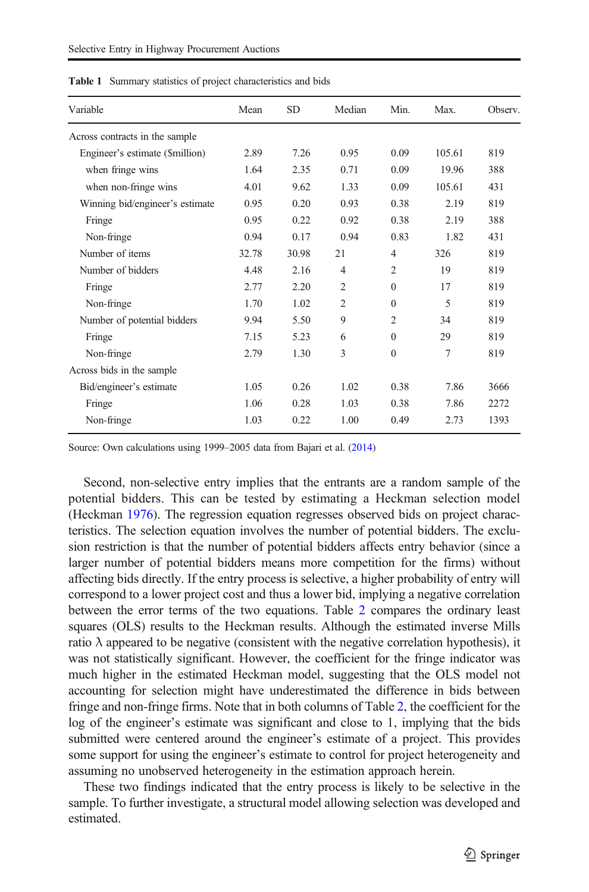| Variable                        | Mean  | <b>SD</b> | Median         | Min.           | Max.   | Observ. |
|---------------------------------|-------|-----------|----------------|----------------|--------|---------|
| Across contracts in the sample  |       |           |                |                |        |         |
| Engineer's estimate (\$million) | 2.89  | 7.26      | 0.95           | 0.09           | 105.61 | 819     |
| when fringe wins                | 1.64  | 2.35      | 0.71           | 0.09           | 19.96  | 388     |
| when non-fringe wins            | 4.01  | 9.62      | 1.33           | 0.09           | 105.61 | 431     |
| Winning bid/engineer's estimate | 0.95  | 0.20      | 0.93           | 0.38           | 2.19   | 819     |
| Fringe                          | 0.95  | 0.22      | 0.92           | 0.38           | 2.19   | 388     |
| Non-fringe                      | 0.94  | 0.17      | 0.94           | 0.83           | 1.82   | 431     |
| Number of items                 | 32.78 | 30.98     | 21             | $\overline{4}$ | 326    | 819     |
| Number of bidders               | 4.48  | 2.16      | $\overline{4}$ | $\overline{2}$ | 19     | 819     |
| Fringe                          | 2.77  | 2.20      | $\overline{2}$ | $\Omega$       | 17     | 819     |
| Non-fringe                      | 1.70  | 1.02      | $\overline{2}$ | $\Omega$       | 5      | 819     |
| Number of potential bidders     | 9.94  | 5.50      | 9              | $\overline{2}$ | 34     | 819     |
| Fringe                          | 7.15  | 5.23      | 6              | $\Omega$       | 29     | 819     |
| Non-fringe                      | 2.79  | 1.30      | 3              | $\mathbf{0}$   | 7      | 819     |
| Across bids in the sample       |       |           |                |                |        |         |
| Bid/engineer's estimate         | 1.05  | 0.26      | 1.02           | 0.38           | 7.86   | 3666    |
| Fringe                          | 1.06  | 0.28      | 1.03           | 0.38           | 7.86   | 2272    |
| Non-fringe                      | 1.03  | 0.22      | 1.00           | 0.49           | 2.73   | 1393    |

<span id="page-4-0"></span>Table 1 Summary statistics of project characteristics and bids

Source: Own calculations using 1999–2005 data from Bajari et al. [\(2014\)](#page-14-0)

Second, non-selective entry implies that the entrants are a random sample of the potential bidders. This can be tested by estimating a Heckman selection model (Heckman [1976](#page-14-0)). The regression equation regresses observed bids on project characteristics. The selection equation involves the number of potential bidders. The exclusion restriction is that the number of potential bidders affects entry behavior (since a larger number of potential bidders means more competition for the firms) without affecting bids directly. If the entry process is selective, a higher probability of entry will correspond to a lower project cost and thus a lower bid, implying a negative correlation between the error terms of the two equations. Table [2](#page-5-0) compares the ordinary least squares (OLS) results to the Heckman results. Although the estimated inverse Mills ratio  $\lambda$  appeared to be negative (consistent with the negative correlation hypothesis), it was not statistically significant. However, the coefficient for the fringe indicator was much higher in the estimated Heckman model, suggesting that the OLS model not accounting for selection might have underestimated the difference in bids between fringe and non-fringe firms. Note that in both columns of Table [2](#page-5-0), the coefficient for the log of the engineer's estimate was significant and close to 1, implying that the bids submitted were centered around the engineer's estimate of a project. This provides some support for using the engineer's estimate to control for project heterogeneity and assuming no unobserved heterogeneity in the estimation approach herein.

These two findings indicated that the entry process is likely to be selective in the sample. To further investigate, a structural model allowing selection was developed and estimated.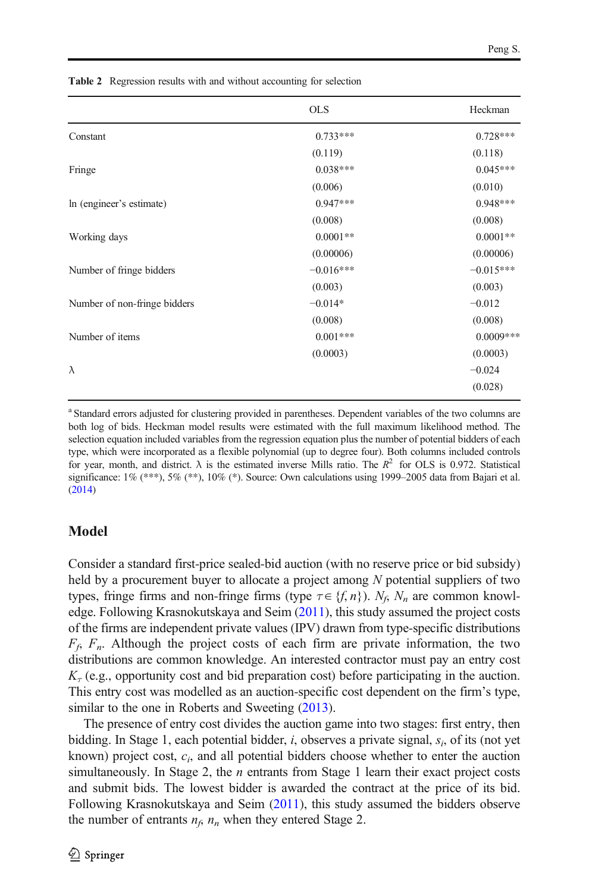|                              | <b>OLS</b>  | Heckman     |
|------------------------------|-------------|-------------|
| Constant                     | $0.733***$  | $0.728***$  |
|                              | (0.119)     | (0.118)     |
| Fringe                       | $0.038***$  | $0.045***$  |
|                              | (0.006)     | (0.010)     |
| In (engineer's estimate)     | $0.947***$  | $0.948***$  |
|                              | (0.008)     | (0.008)     |
| Working days                 | $0.0001**$  | $0.0001**$  |
|                              | (0.00006)   | (0.00006)   |
| Number of fringe bidders     | $-0.016***$ | $-0.015***$ |
|                              | (0.003)     | (0.003)     |
| Number of non-fringe bidders | $-0.014*$   | $-0.012$    |
|                              | (0.008)     | (0.008)     |
| Number of items              | $0.001***$  | $0.0009***$ |
|                              | (0.0003)    | (0.0003)    |
| $\lambda$                    |             | $-0.024$    |
|                              |             | (0.028)     |

<span id="page-5-0"></span>Table 2 Regression results with and without accounting for selection

<sup>a</sup> Standard errors adjusted for clustering provided in parentheses. Dependent variables of the two columns are both log of bids. Heckman model results were estimated with the full maximum likelihood method. The selection equation included variables from the regression equation plus the number of potential bidders of each type, which were incorporated as a flexible polynomial (up to degree four). Both columns included controls for year, month, and district.  $\lambda$  is the estimated inverse Mills ratio. The  $R^2$  for OLS is 0.972. Statistical significance:  $1\%$  (\*\*\*),  $5\%$  (\*\*),  $10\%$  (\*). Source: Own calculations using 1999–2005 data from Bajari et al. ([2014\)](#page-14-0)

# Model

Consider a standard first-price sealed-bid auction (with no reserve price or bid subsidy) held by a procurement buyer to allocate a project among  $N$  potential suppliers of two types, fringe firms and non-fringe firms (type  $\tau \in \{f, n\}$ ).  $N_f$ ,  $N_n$  are common knowledge. Following Krasnokutskaya and Seim [\(2011\)](#page-14-0), this study assumed the project costs of the firms are independent private values (IPV) drawn from type-specific distributions  $F_f$ ,  $F_n$ . Although the project costs of each firm are private information, the two distributions are common knowledge. An interested contractor must pay an entry cost  $K_{\tau}$  (e.g., opportunity cost and bid preparation cost) before participating in the auction. This entry cost was modelled as an auction-specific cost dependent on the firm's type, similar to the one in Roberts and Sweeting ([2013](#page-14-0)).

The presence of entry cost divides the auction game into two stages: first entry, then bidding. In Stage 1, each potential bidder, i, observes a private signal,  $s_i$ , of its (not yet known) project cost,  $c_i$ , and all potential bidders choose whether to enter the auction simultaneously. In Stage 2, the *n* entrants from Stage 1 learn their exact project costs and submit bids. The lowest bidder is awarded the contract at the price of its bid. Following Krasnokutskaya and Seim [\(2011\)](#page-14-0), this study assumed the bidders observe the number of entrants  $n_f$ ,  $n_n$  when they entered Stage 2.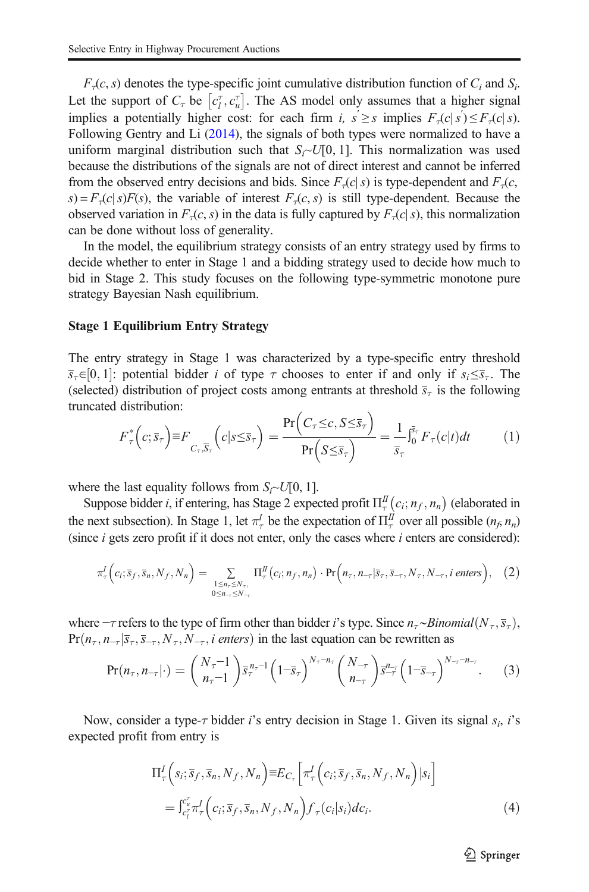<span id="page-6-0"></span> $F<sub>τ</sub>(c, s)$  denotes the type-specific joint cumulative distribution function of  $C<sub>i</sub>$  and  $S<sub>i</sub>$ . Let the support of  $C_{\tau}$  be  $[c_l^{\tau}, c_u^{\tau}]$ . The AS model only assumes that a higher signal implies a potentially higher cost: for each firm i,  $s' \geq s$  implies  $F_\tau(c|s') \leq F_\tau(c|s)$ . Following Gentry and Li ([2014](#page-14-0)), the signals of both types were normalized to have a uniform marginal distribution such that  $S_i \sim U[0, 1]$ . This normalization was used because the distributions of the signals are not of direct interest and cannot be inferred from the observed entry decisions and bids. Since  $F<sub>τ</sub>(c|s)$  is type-dependent and  $F<sub>τ</sub>(c,$  $s$ ) =  $F<sub>τ</sub>(c|s)F(s)$ , the variable of interest  $F<sub>τ</sub>(c, s)$  is still type-dependent. Because the observed variation in  $F_\tau(c,s)$  in the data is fully captured by  $F_\tau(c|s)$ , this normalization can be done without loss of generality.

In the model, the equilibrium strategy consists of an entry strategy used by firms to decide whether to enter in Stage 1 and a bidding strategy used to decide how much to bid in Stage 2. This study focuses on the following type-symmetric monotone pure strategy Bayesian Nash equilibrium.

#### Stage 1 Equilibrium Entry Strategy

The entry strategy in Stage 1 was characterized by a type-specific entry threshold  $\overline{s}_{\tau} \in [0, 1]$ : potential bidder *i* of type  $\tau$  chooses to enter if and only if  $s_i \leq \overline{s}_{\tau}$ . The (selected) distribution of project costs among entrants at threshold  $\bar{s}_{\tau}$  is the following truncated distribution:

$$
F_{\tau}^*\left(c;\overline{s}_{\tau}\right) \equiv F_{C_{\tau},\overline{S}_{\tau}}\left(c|s \leq \overline{s}_{\tau}\right) = \frac{\Pr\left(C_{\tau} \leq c,S \leq \overline{s}_{\tau}\right)}{\Pr\left(S \leq \overline{s}_{\tau}\right)} = \frac{1}{\overline{s}_{\tau}}\int_{0}^{\overline{s}_{\tau}}F_{\tau}(c|t)dt\tag{1}
$$

where the last equality follows from  $S_i \sim U[0, 1]$ .

Suppose bidder *i*, if entering, has Stage 2 expected profit  $\Pi_{\tau}^{I\!I}(c_i; n_f, n_n)$  (elaborated in the next subsection). In Stage 1, let  $\pi_\tau^I$  be the expectation of  $\Pi_\tau^I$  over all possible  $(n_f, n_n)$ (since  $i$  gets zero profit if it does not enter, only the cases where  $i$  enters are considered):

$$
\pi_{\tau}^{I}\Big(c_{i};\overline{s}_{f},\overline{s}_{n},N_{f},N_{n}\Big) = \sum_{\substack{1 \leq n_{\tau} \leq N_{\tau},\\0 \leq n_{\tau} \leq N_{\tau}}} \Pi_{\tau}^{I\!I}\Big(c_{i};n_{f},n_{n}\Big) \cdot \Pr\Big(n_{\tau},n_{-\tau}|\overline{s}_{\tau},\overline{s}_{-\tau},N_{\tau},N_{-\tau},i\text{ enters}\Big),\quad(2)
$$

where  $-\tau$  refers to the type of firm other than bidder *i*'s type. Since  $n_{\tau} \sim Binomial(N_{\tau}, \overline{s}_{\tau})$ ,  $Pr(n_{\tau}, n_{\tau}|\overline{s}_{\tau}, \overline{s}_{\tau}, N_{\tau}, N_{\tau}, i$  enters) in the last equation can be rewritten as

$$
\Pr(n_{\tau}, n_{-\tau}|\cdot) = {N_{\tau}-1 \choose n_{\tau}-1} \overline{s}_{\tau}^{n_{\tau}-1} \left(1-\overline{s}_{\tau}\right)^{N_{\tau}-n_{\tau}} {N_{-\tau} \choose n_{-\tau}} \overline{s}_{-\tau}^{n_{-\tau}} \left(1-\overline{s}_{-\tau}\right)^{N_{-\tau}-n_{-\tau}}.\tag{3}
$$

Now, consider a type- $\tau$  bidder *i*'s entry decision in Stage 1. Given its signal  $s_i$ , *i*'s expected profit from entry is

$$
\Pi_{\tau}^{I}\left(s_{i};\overline{s}_{f},\overline{s}_{n},N_{f},N_{n}\right) \equiv E_{C_{\tau}}\left[\pi_{\tau}^{I}\left(c_{i};\overline{s}_{f},\overline{s}_{n},N_{f},N_{n}\right)|s_{i}\right]
$$
\n
$$
= \int_{c_{i}^{\tau}}^{c_{u}^{\tau}} \pi_{\tau}^{I}\left(c_{i};\overline{s}_{f},\overline{s}_{n},N_{f},N_{n}\right) f_{\tau}(c_{i}|s_{i})dc_{i}.
$$
\n(4)

 $\mathcal{D}$  Springer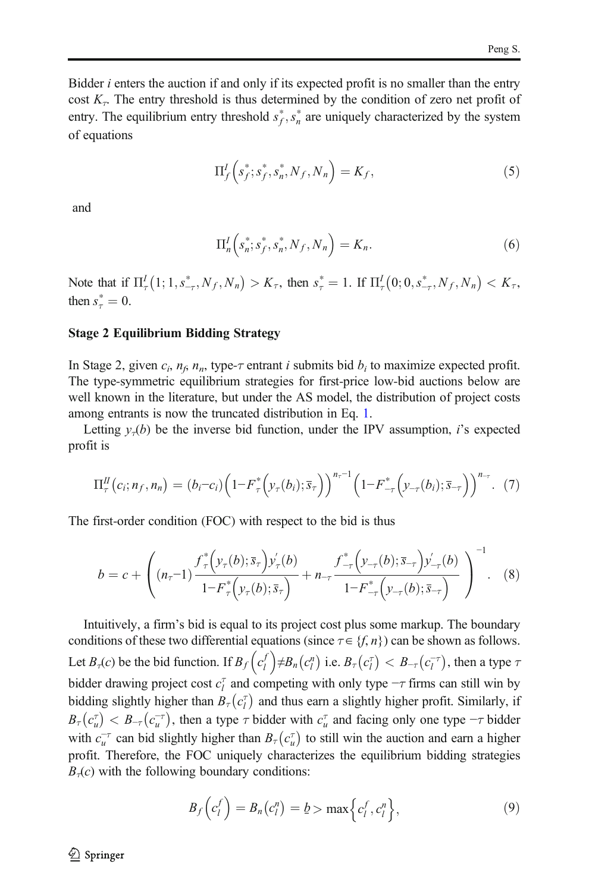<span id="page-7-0"></span>Bidder *i* enters the auction if and only if its expected profit is no smaller than the entry cost  $K<sub>T</sub>$ . The entry threshold is thus determined by the condition of zero net profit of entry. The equilibrium entry threshold  $s_f^*$ ,  $s_n^*$  are uniquely characterized by the system of equations

$$
\Pi_f^I \left( s_f^*; s_f^*, s_n^*, N_f, N_n \right) = K_f, \tag{5}
$$

and

$$
\Pi_n^I \left( s_n^*; s_j^*, s_n^*, N_f, N_n \right) = K_n. \tag{6}
$$

Note that if  $\Pi_{\tau}^{I}(1; 1, s_{-\tau}^{*}, N_{f}, N_{n}) > K_{\tau}$ , then  $s_{\tau}^{*} = 1$ . If  $\Pi_{\tau}^{I}(0; 0, s_{-\tau}^{*}, N_{f}, N_{n}) < K_{\tau}$ , then  $s^*_{\tau} = 0$ .

#### Stage 2 Equilibrium Bidding Strategy

In Stage 2, given  $c_i$ ,  $n_f$ ,  $n_g$ , type- $\tau$  entrant *i* submits bid  $b_i$  to maximize expected profit. The type-symmetric equilibrium strategies for first-price low-bid auctions below are well known in the literature, but under the AS model, the distribution of project costs among entrants is now the truncated distribution in Eq. [1.](#page-6-0)

Letting  $y<sub>\tau</sub>(b)$  be the inverse bid function, under the IPV assumption, *i*'s expected profit is

$$
\Pi_{\tau}^{II}(c_i; n_f, n_n) = (b_i - c_i) \left( 1 - F_{\tau}^* \left( y_{\tau}(b_i); \overline{s}_{\tau} \right) \right)^{n_{\tau}-1} \left( 1 - F_{-\tau}^* \left( y_{-\tau}(b_i); \overline{s}_{-\tau} \right) \right)^{n_{\tau}}. (7)
$$

The first-order condition (FOC) with respect to the bid is thus

$$
b = c + \left( (n_{\tau} - 1) \frac{f_{\tau}^{*} \left( y_{\tau}(b); \overline{s}_{\tau} \right) y_{\tau}'(b)}{1 - F_{\tau}^{*} \left( y_{\tau}(b); \overline{s}_{\tau} \right)} + n_{-\tau} \frac{f_{-\tau}^{*} \left( y_{-\tau}(b); \overline{s}_{-\tau} \right) y_{-\tau}'(b)}{1 - F_{-\tau}^{*} \left( y_{-\tau}(b); \overline{s}_{-\tau} \right)} \right)^{-1} . \tag{8}
$$

Intuitively, a firm's bid is equal to its project cost plus some markup. The boundary conditions of these two differential equations (since  $\tau \in \{f, n\}$ ) can be shown as follows. Let  $B_\tau(c)$  be the bid function. If  $B_f\left(c_l^f\right) \neq B_n(c_l^n)$  i.e.  $B_\tau(c_l^\tau) < B_{-\tau}(c_l^{-\tau})$ , then a type  $\tau$ bidder drawing project cost  $c_l^{\dagger}$  and competing with only type  $-\tau$  firms can still win by bidding slightly higher than  $B_{\tau}(c_i^{\tau})$  and thus earn a slightly higher profit. Similarly, if  $B_{\tau}(c_{u}^{\tau}) < B_{-\tau}(c_{u}^{-\tau})$ , then a type  $\tau$  bidder with  $c_{u}^{\tau}$  and facing only one type  $-\tau$  bidder with  $c_u^{-\tau}$  can bid slightly higher than  $B_\tau(c_u^{\tau})$  to still win the auction and earn a higher profit. Therefore, the FOC uniquely characterizes the equilibrium bidding strategies  $B<sub>\tau</sub>(c)$  with the following boundary conditions:

$$
B_f\left(c_l^f\right) = B_n\left(c_l^n\right) = b > \max\left\{c_l^f, c_l^n\right\},\tag{9}
$$

 $\textcircled{2}$  Springer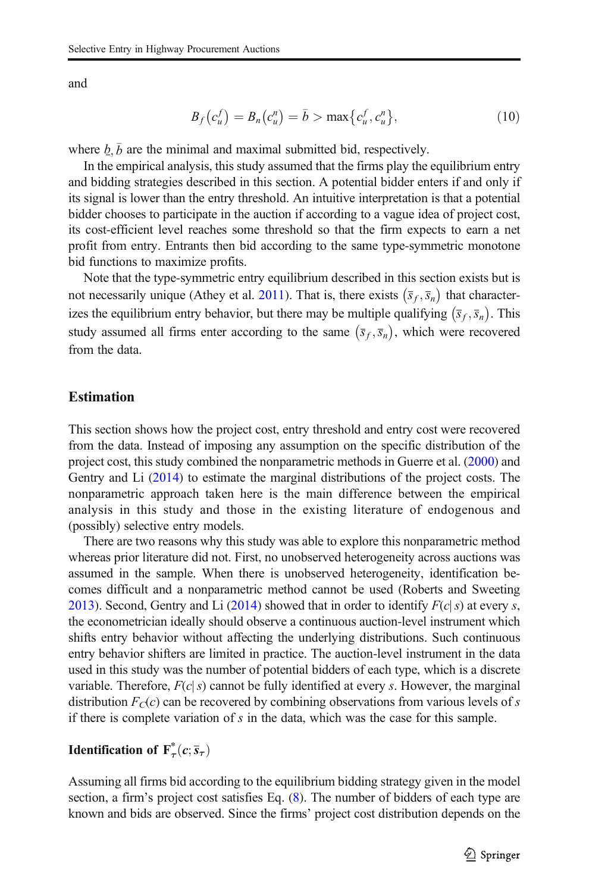and

$$
B_f(c_u^f) = B_n(c_u^n) = \bar{b} > \max\{c_u^f, c_u^n\},\tag{10}
$$

where  $b, \bar{b}$  are the minimal and maximal submitted bid, respectively.

In the empirical analysis, this study assumed that the firms play the equilibrium entry and bidding strategies described in this section. A potential bidder enters if and only if its signal is lower than the entry threshold. An intuitive interpretation is that a potential bidder chooses to participate in the auction if according to a vague idea of project cost, its cost-efficient level reaches some threshold so that the firm expects to earn a net profit from entry. Entrants then bid according to the same type-symmetric monotone bid functions to maximize profits.

Note that the type-symmetric entry equilibrium described in this section exists but is not necessarily unique (Athey et al. [2011\)](#page-14-0). That is, there exists  $(\bar{s}_f, \bar{s}_n)$  that characterizes the equilibrium entry behavior, but there may be multiple qualifying  $(\bar{s}_f, \bar{s}_n)$ . This study assumed all firms enter according to the same  $(\bar{s}_f, \bar{s}_n)$ , which were recovered from the data.

## Estimation

This section shows how the project cost, entry threshold and entry cost were recovered from the data. Instead of imposing any assumption on the specific distribution of the project cost, this study combined the nonparametric methods in Guerre et al. [\(2000\)](#page-14-0) and Gentry and Li [\(2014\)](#page-14-0) to estimate the marginal distributions of the project costs. The nonparametric approach taken here is the main difference between the empirical analysis in this study and those in the existing literature of endogenous and (possibly) selective entry models.

There are two reasons why this study was able to explore this nonparametric method whereas prior literature did not. First, no unobserved heterogeneity across auctions was assumed in the sample. When there is unobserved heterogeneity, identification becomes difficult and a nonparametric method cannot be used (Roberts and Sweeting [2013\)](#page-14-0). Second, Gentry and Li [\(2014\)](#page-14-0) showed that in order to identify  $F(c|s)$  at every s, the econometrician ideally should observe a continuous auction-level instrument which shifts entry behavior without affecting the underlying distributions. Such continuous entry behavior shifters are limited in practice. The auction-level instrument in the data used in this study was the number of potential bidders of each type, which is a discrete variable. Therefore,  $F(c|s)$  cannot be fully identified at every s. However, the marginal distribution  $F_C(c)$  can be recovered by combining observations from various levels of s if there is complete variation of  $s$  in the data, which was the case for this sample.

# **Identification of**  $F^*_{\tau}(c; \overline{s}_{\tau})$

Assuming all firms bid according to the equilibrium bidding strategy given in the model section, a firm's project cost satisfies Eq. ([8](#page-7-0)). The number of bidders of each type are known and bids are observed. Since the firms' project cost distribution depends on the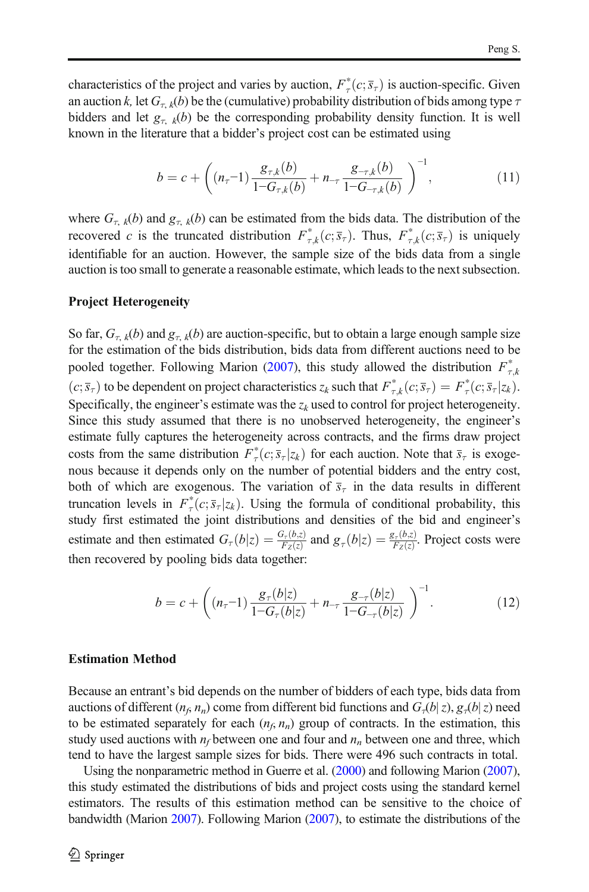<span id="page-9-0"></span>characteristics of the project and varies by auction,  $F^*(c; \overline{s}_\tau)$  is auction-specific. Given an auction k, let  $G_{\tau k}(b)$  be the (cumulative) probability distribution of bids among type  $\tau$ bidders and let  $g_{\tau, k}(b)$  be the corresponding probability density function. It is well known in the literature that a bidder's project cost can be estimated using

$$
b = c + \left( (n_{\tau} - 1) \frac{g_{\tau,k}(b)}{1 - G_{\tau,k}(b)} + n_{-\tau} \frac{g_{-\tau,k}(b)}{1 - G_{-\tau,k}(b)} \right)^{-1}, \tag{11}
$$

where  $G_{\tau, k}(b)$  and  $g_{\tau, k}(b)$  can be estimated from the bids data. The distribution of the recovered c is the truncated distribution  $F^*_{\tau,k}(c;\overline{s}_{\tau})$ . Thus,  $F^*_{\tau,k}(c;\overline{s}_{\tau})$  is uniquely identifiable for an auction. However, the sample size of the bids data from a single auction is too small to generate a reasonable estimate, which leads to the next subsection.

### Project Heterogeneity

So far,  $G_{\tau,k}(b)$  and  $g_{\tau,k}(b)$  are auction-specific, but to obtain a large enough sample size for the estimation of the bids distribution, bids data from different auctions need to be pooled together. Following Marion ([2007](#page-14-0)), this study allowed the distribution  $F_{\tau,k}^{*}$  $(c; \bar{s}_\tau)$  to be dependent on project characteristics  $z_k$  such that  $F^*_{\tau,k}(c; \bar{s}_\tau) = F^*_{\tau}(c; \bar{s}_\tau | z_k)$ . Specifically, the engineer's estimate was the  $z_k$  used to control for project heterogeneity. Since this study assumed that there is no unobserved heterogeneity, the engineer's estimate fully captures the heterogeneity across contracts, and the firms draw project costs from the same distribution  $F^*_{\tau}(c; \bar{s}_{\tau}|z_k)$  for each auction. Note that  $\bar{s}_{\tau}$  is exogenous because it depends only on the number of potential bidders and the entry cost, both of which are exogenous. The variation of  $\bar{s}_{\tau}$  in the data results in different truncation levels in  $F^*(c; \overline{s}_\tau | z_k)$ . Using the formula of conditional probability, this study first estimated the joint distributions and densities of the bid and engineer's estimate and then estimated  $G_\tau(b|z) = \frac{G_\tau(b,z)}{F_z(z)}$  and  $g_\tau(b|z) = \frac{g_\tau(b,z)}{F_z(z)}$ . Project costs were then recovered by pooling bids data together:

$$
b = c + \left( (n_{\tau} - 1) \frac{g_{\tau}(b|z)}{1 - G_{\tau}(b|z)} + n_{-\tau} \frac{g_{-\tau}(b|z)}{1 - G_{-\tau}(b|z)} \right)^{-1}.
$$
 (12)

#### Estimation Method

Because an entrant's bid depends on the number of bidders of each type, bids data from auctions of different  $(n_f, n_n)$  come from different bid functions and  $G_{\tau}(b|z)$ ,  $g_{\tau}(b|z)$  need to be estimated separately for each  $(n_f, n_n)$  group of contracts. In the estimation, this study used auctions with  $n_f$  between one and four and  $n_n$  between one and three, which tend to have the largest sample sizes for bids. There were 496 such contracts in total.

Using the nonparametric method in Guerre et al. ([2000\)](#page-14-0) and following Marion ([2007\)](#page-14-0), this study estimated the distributions of bids and project costs using the standard kernel estimators. The results of this estimation method can be sensitive to the choice of bandwidth (Marion [2007\)](#page-14-0). Following Marion ([2007\)](#page-14-0), to estimate the distributions of the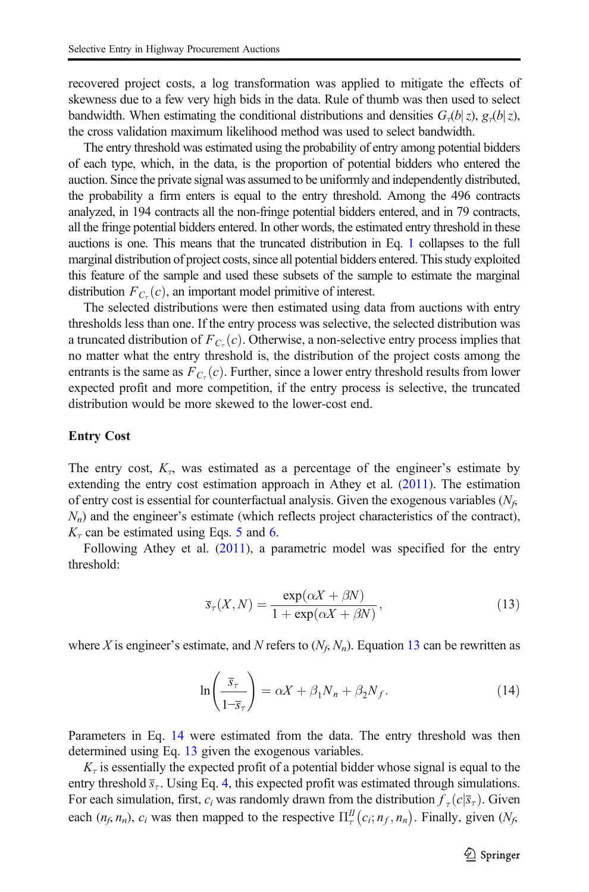recovered project costs, a log transformation was applied to mitigate the effects of skewness due to a few very high bids in the data. Rule of thumb was then used to select bandwidth. When estimating the conditional distributions and densities  $G_{\tau}(b|z)$ ,  $g_{\tau}(b|z)$ , the cross validation maximum likelihood method was used to select bandwidth.

The entry threshold was estimated using the probability of entry among potential bidders of each type, which, in the data, is the proportion of potential bidders who entered the auction. Since the private signal was assumed to be uniformly and independently distributed, the probability a firm enters is equal to the entry threshold. Among the 496 contracts analyzed, in 194 contracts all the non-fringe potential bidders entered, and in 79 contracts, all the fringe potential bidders entered. In other words, the estimated entry threshold in these auctions is one. This means that the truncated distribution in Eq. [1](#page-6-0) collapses to the full marginal distribution of project costs, since all potential bidders entered. This study exploited this feature of the sample and used these subsets of the sample to estimate the marginal distribution  $F_{C_{\tau}}(c)$ , an important model primitive of interest.

The selected distributions were then estimated using data from auctions with entry thresholds less than one. If the entry process was selective, the selected distribution was a truncated distribution of  $F_{C_{\tau}}(c)$ . Otherwise, a non-selective entry process implies that no matter what the entry threshold is, the distribution of the project costs among the entrants is the same as  $F_{C_{\tau}}(c)$ . Further, since a lower entry threshold results from lower expected profit and more competition, if the entry process is selective, the truncated distribution would be more skewed to the lower-cost end.

#### Entry Cost

The entry cost,  $K<sub>n</sub>$  was estimated as a percentage of the engineer's estimate by extending the entry cost estimation approach in Athey et al. [\(2011\)](#page-14-0). The estimation of entry cost is essential for counterfactual analysis. Given the exogenous variables  $(N_f,$  $N_n$ ) and the engineer's estimate (which reflects project characteristics of the contract),  $K_{\tau}$  can be estimated using Eqs. [5](#page-7-0) and [6.](#page-7-0)

Following Athey et al. ([2011\)](#page-14-0), a parametric model was specified for the entry threshold:

$$
\overline{s}_{\tau}(X,N) = \frac{\exp(\alpha X + \beta N)}{1 + \exp(\alpha X + \beta N)},
$$
\n(13)

where X is engineer's estimate, and N refers to  $(N_f, N_n)$ . Equation 13 can be rewritten as

$$
\ln\left(\frac{\overline{s}_{\tau}}{1-\overline{s}_{\tau}}\right) = \alpha X + \beta_1 N_n + \beta_2 N_f. \tag{14}
$$

Parameters in Eq. 14 were estimated from the data. The entry threshold was then determined using Eq. 13 given the exogenous variables.

 $K_{\tau}$  is essentially the expected profit of a potential bidder whose signal is equal to the entry threshold  $\bar{s}_\tau$ . Using Eq. [4,](#page-6-0) this expected profit was estimated through simulations. For each simulation, first,  $c_i$  was randomly drawn from the distribution  $f_\tau(c|\overline{s}_\tau)$ . Given each  $(n_f, n_n)$ ,  $c_i$  was then mapped to the respective  $\Pi_{\tau}^{\Pi}(c_i; n_f, n_n)$ . Finally, given  $(N_f, n_f)$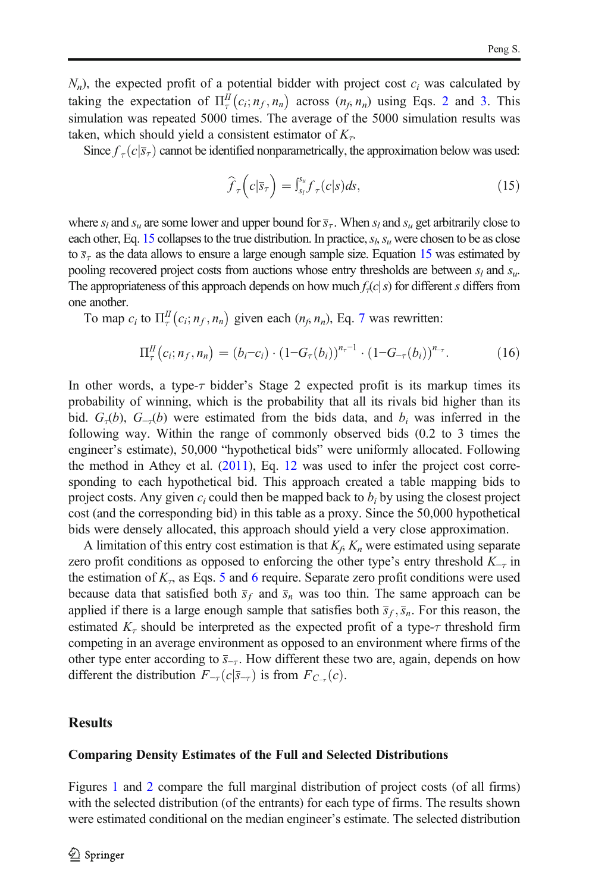$N_n$ ), the expected profit of a potential bidder with project cost  $c_i$  was calculated by taking the expectation of  $\Pi_{\tau}^{II}(c_i; n_f, n_n)$  across  $(n_f, n_n)$  using Eqs. [2](#page-6-0) and [3.](#page-6-0) This simulation was repeated 5000 times. The average of the 5000 simulation results was taken, which should yield a consistent estimator of  $K<sub>\tau</sub>$ .

Since  $f_{\tau}(c|\overline{s}_{\tau})$  cannot be identified nonparametrically, the approximation below was used:

$$
\widehat{f}_{\tau}\left(c|\overline{s}_{\tau}\right) = \int_{s_{l}}^{s_{u}} f_{\tau}(c|s)ds, \tag{15}
$$

where  $s_l$  and  $s_u$  are some lower and upper bound for  $\overline{s}_{\tau}$ . When  $s_l$  and  $s_u$  get arbitrarily close to each other, Eq. 15 collapses to the true distribution. In practice,  $s_h s_u$  were chosen to be as close to  $\bar{s}_{\tau}$  as the data allows to ensure a large enough sample size. Equation 15 was estimated by pooling recovered project costs from auctions whose entry thresholds are between  $s_l$  and  $s_u$ . The appropriateness of this approach depends on how much  $f<sub>r</sub>(c|s)$  for different s differs from one another.

To map  $c_i$  to  $\Pi_{\tau}^{II}(c_i; n_f, n_n)$  given each  $(n_f, n_n)$ , Eq. [7](#page-7-0) was rewritten:

$$
\Pi_{\tau}^{II}(c_i; n_f, n_n) = (b_i - c_i) \cdot (1 - G_{\tau}(b_i))^{n_{\tau}-1} \cdot (1 - G_{-\tau}(b_i))^{n_{\tau}}.
$$
 (16)

In other words, a type- $\tau$  bidder's Stage 2 expected profit is its markup times its probability of winning, which is the probability that all its rivals bid higher than its bid.  $G_{\tau}(b)$ ,  $G_{-\tau}(b)$  were estimated from the bids data, and  $b_i$  was inferred in the following way. Within the range of commonly observed bids (0.2 to 3 times the engineer's estimate), 50,000 "hypothetical bids" were uniformly allocated. Following the method in Athey et al. ([2011](#page-14-0)), Eq. [12](#page-9-0) was used to infer the project cost corresponding to each hypothetical bid. This approach created a table mapping bids to project costs. Any given  $c_i$  could then be mapped back to  $b_i$  by using the closest project cost (and the corresponding bid) in this table as a proxy. Since the 50,000 hypothetical bids were densely allocated, this approach should yield a very close approximation.

A limitation of this entry cost estimation is that  $K_f$ ,  $K_n$  were estimated using separate zero profit conditions as opposed to enforcing the other type's entry threshold  $K_{-r}$  in the estimation of  $K<sub>r</sub>$ , as Eqs. [5](#page-7-0) and [6](#page-7-0) require. Separate zero profit conditions were used because data that satisfied both  $\bar{s}_f$  and  $\bar{s}_n$  was too thin. The same approach can be applied if there is a large enough sample that satisfies both  $\bar{s}_f$ ,  $\bar{s}_n$ . For this reason, the estimated  $K_{\tau}$  should be interpreted as the expected profit of a type- $\tau$  threshold firm competing in an average environment as opposed to an environment where firms of the other type enter according to  $\overline{s}_{-r}$ . How different these two are, again, depends on how different the distribution  $F_{-\tau}(c|\overline{s}_{-\tau})$  is from  $F_{C_{-\tau}}(c)$ .

## **Results**

#### Comparing Density Estimates of the Full and Selected Distributions

Figures [1](#page-12-0) and [2](#page-12-0) compare the full marginal distribution of project costs (of all firms) with the selected distribution (of the entrants) for each type of firms. The results shown were estimated conditional on the median engineer's estimate. The selected distribution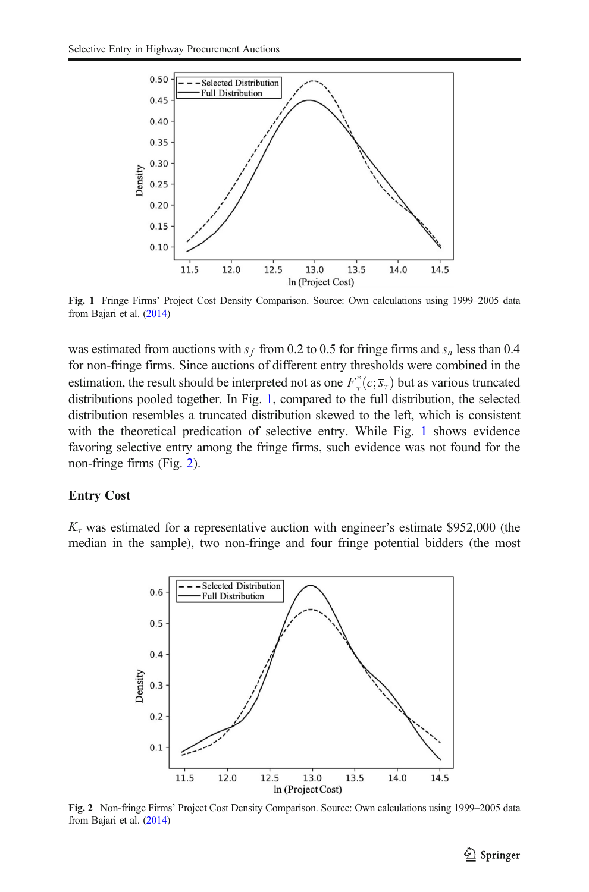<span id="page-12-0"></span>

Fig. 1 Fringe Firms' Project Cost Density Comparison. Source: Own calculations using 1999–2005 data from Bajari et al. [\(2014\)](#page-14-0)

was estimated from auctions with  $\bar{s}_f$  from 0.2 to 0.5 for fringe firms and  $\bar{s}_n$  less than 0.4 for non-fringe firms. Since auctions of different entry thresholds were combined in the estimation, the result should be interpreted not as one  $F^*_{\tau}(c; \bar{s}_\tau)$  but as various truncated distributions pooled together. In Fig. 1, compared to the full distribution, the selected distribution resembles a truncated distribution skewed to the left, which is consistent with the theoretical predication of selective entry. While Fig. 1 shows evidence favoring selective entry among the fringe firms, such evidence was not found for the non-fringe firms (Fig. 2).

### Entry Cost

 $K_{\tau}$  was estimated for a representative auction with engineer's estimate \$952,000 (the median in the sample), two non-fringe and four fringe potential bidders (the most



Fig. 2 Non-fringe Firms' Project Cost Density Comparison. Source: Own calculations using 1999–2005 data from Bajari et al. [\(2014\)](#page-14-0)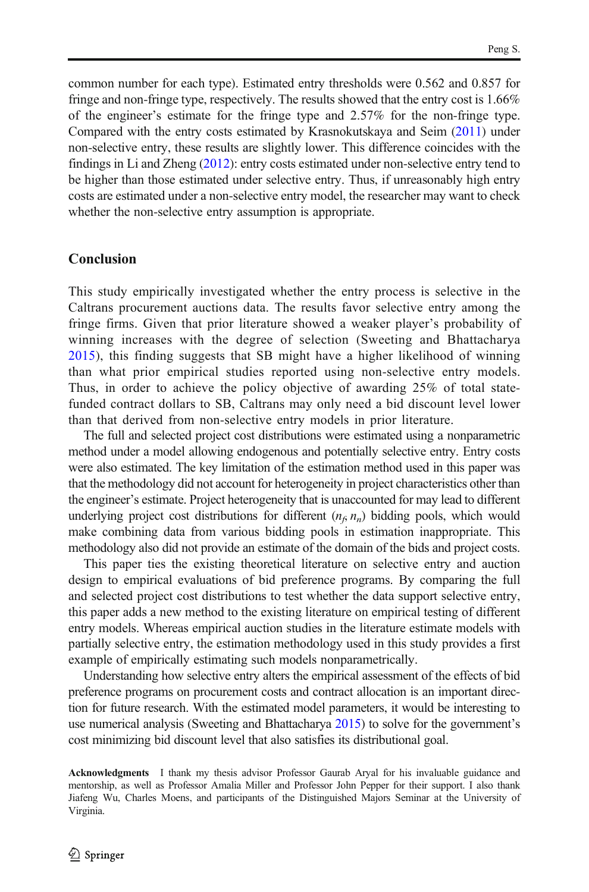common number for each type). Estimated entry thresholds were 0.562 and 0.857 for fringe and non-fringe type, respectively. The results showed that the entry cost is 1.66% of the engineer's estimate for the fringe type and 2.57% for the non-fringe type. Compared with the entry costs estimated by Krasnokutskaya and Seim [\(2011\)](#page-14-0) under non-selective entry, these results are slightly lower. This difference coincides with the findings in Li and Zheng ([2012](#page-14-0)): entry costs estimated under non-selective entry tend to be higher than those estimated under selective entry. Thus, if unreasonably high entry costs are estimated under a non-selective entry model, the researcher may want to check whether the non-selective entry assumption is appropriate.

## Conclusion

This study empirically investigated whether the entry process is selective in the Caltrans procurement auctions data. The results favor selective entry among the fringe firms. Given that prior literature showed a weaker player's probability of winning increases with the degree of selection (Sweeting and Bhattacharya [2015](#page-14-0)), this finding suggests that SB might have a higher likelihood of winning than what prior empirical studies reported using non-selective entry models. Thus, in order to achieve the policy objective of awarding 25% of total statefunded contract dollars to SB, Caltrans may only need a bid discount level lower than that derived from non-selective entry models in prior literature.

The full and selected project cost distributions were estimated using a nonparametric method under a model allowing endogenous and potentially selective entry. Entry costs were also estimated. The key limitation of the estimation method used in this paper was that the methodology did not account for heterogeneity in project characteristics other than the engineer's estimate. Project heterogeneity that is unaccounted for may lead to different underlying project cost distributions for different  $(n_f, n_n)$  bidding pools, which would make combining data from various bidding pools in estimation inappropriate. This methodology also did not provide an estimate of the domain of the bids and project costs.

This paper ties the existing theoretical literature on selective entry and auction design to empirical evaluations of bid preference programs. By comparing the full and selected project cost distributions to test whether the data support selective entry, this paper adds a new method to the existing literature on empirical testing of different entry models. Whereas empirical auction studies in the literature estimate models with partially selective entry, the estimation methodology used in this study provides a first example of empirically estimating such models nonparametrically.

Understanding how selective entry alters the empirical assessment of the effects of bid preference programs on procurement costs and contract allocation is an important direction for future research. With the estimated model parameters, it would be interesting to use numerical analysis (Sweeting and Bhattacharya [2015](#page-14-0)) to solve for the government's cost minimizing bid discount level that also satisfies its distributional goal.

Acknowledgments I thank my thesis advisor Professor Gaurab Aryal for his invaluable guidance and mentorship, as well as Professor Amalia Miller and Professor John Pepper for their support. I also thank Jiafeng Wu, Charles Moens, and participants of the Distinguished Majors Seminar at the University of Virginia.